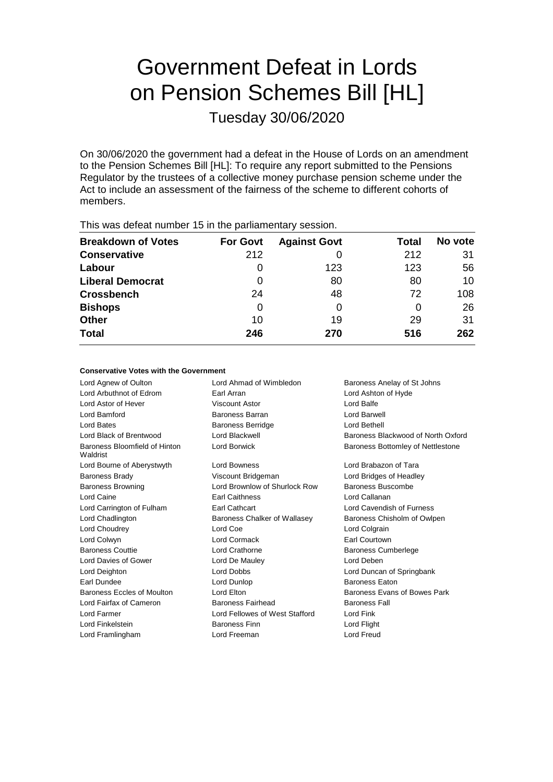# Government Defeat in Lords on Pension Schemes Bill [HL]

Tuesday 30/06/2020

On 30/06/2020 the government had a defeat in the House of Lords on an amendment to the Pension Schemes Bill [HL]: To require any report submitted to the Pensions Regulator by the trustees of a collective money purchase pension scheme under the Act to include an assessment of the fairness of the scheme to different cohorts of members.

| This mas actournanced to minio partiamentary occording |                 |                     |       |         |
|--------------------------------------------------------|-----------------|---------------------|-------|---------|
| <b>Breakdown of Votes</b>                              | <b>For Govt</b> | <b>Against Govt</b> | Total | No vote |
| <b>Conservative</b>                                    | 212             |                     | 212   | 31      |
| Labour                                                 |                 | 123                 | 123   | 56      |
| <b>Liberal Democrat</b>                                | 0               | 80                  | 80    | 10      |
| <b>Crossbench</b>                                      | 24              | 48                  | 72    | 108     |
| <b>Bishops</b>                                         | 0               | O                   | O     | 26      |
| <b>Other</b>                                           | 10              | 19                  | 29    | 31      |
| <b>Total</b>                                           | 246             | 270                 | 516   | 262     |
|                                                        |                 |                     |       |         |

This was defeat number 15 in the parliamentary session.

# **Conservative Votes with the Government**

Lord Agnew of Oulton **Lord Ahmad of Wimbledon** Baroness Anelay of St Johns Lord Arbuthnot of Edrom Earl Arran Lord Ashton of Hyde Lord Astor of Hever Viscount Astor Lord Balfe Lord Bamford Baroness Barran Lord Barwell Lord Bates Baroness Berridge Lord Bethell Lord Black of Brentwood Lord Blackwell Baroness Blackwood of North Oxford Baroness Bloomfield of Hinton Waldrist Lord Borwick **Baroness Bottomley of Nettlestone** Lord Bourne of Aberystwyth Lord Bowness **Lord Brabazon of Tara** Baroness Brady **Marting Community** Viscount Bridgeman **Lord Bridges of Headley** Baroness Browning **Lord Brownlow of Shurlock Row** Baroness Buscombe Lord Caine Earl Caithness Lord Callanan Lord Carrington of Fulham Earl Cathcart Lord Cavendish of Furness Lord Chadlington **Baroness Chalker of Wallasey** Baroness Chisholm of Owlpen Lord Choudrey **Lord Coe** Lord Colgrain **Lord Colgrain** Lord Colwyn Lord Cormack Earl Courtown Baroness Couttie Lord Crathorne Baroness Cumberlege Lord Davies of Gower Lord De Mauley Lord Deben Lord Deighton Lord Dobbs Lord Duncan of Springbank Earl Dundee Lord Dunlop Baroness Eaton Baroness Eccles of Moulton Lord Elton Lord Ethn Baroness Evans of Bowes Park Lord Fairfax of Cameron Baroness Fairhead Baroness Fall Lord Farmer Lord Fellowes of West Stafford Lord Fink Lord Finkelstein Baroness Finn Lord Flight Lord Framlingham Lord Freeman Lord Freud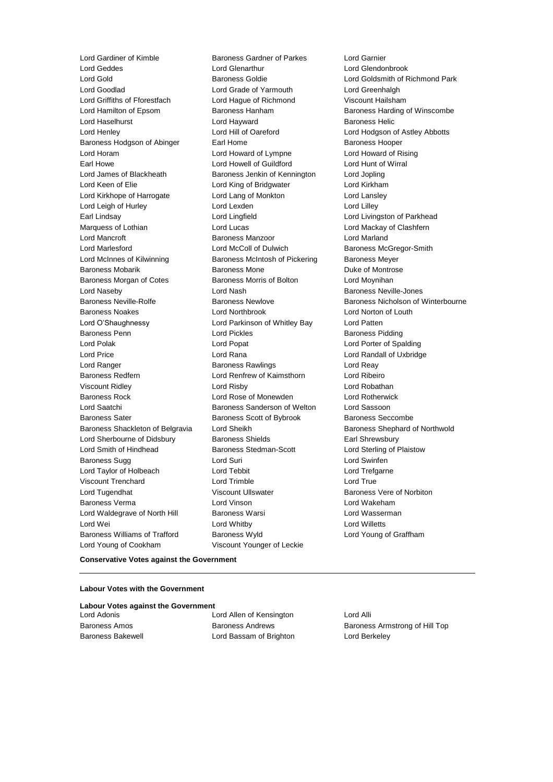Lord Gardiner of Kimble **Baroness Gardner of Parkes** Lord Garnier<br>
Lord Geddes **Lord Glendo**<br>
Lord Glendon Lord Goodlad Lord Grade of Yarmouth Lord Greenhalgh Lord Griffiths of Fforestfach Lord Hague of Richmond Viscount Hailsham Lord Hamilton of Epsom Baroness Hanham Baroness Harding of Winscombe Lord Haselhurst **Lord Hayward** Baroness Helic Lord Henley Lord Hill of Oareford Lord Hodgson of Astley Abbotts Baroness Hodgson of Abinger Earl Home Earl Home Baroness Hooper Lord Horam Lord Howard of Lympne Lord Howard of Rising Earl Howe Lord Howell of Guildford Lord Hunt of Wirral Lord James of Blackheath Baroness Jenkin of Kennington Lord Jopling Lord Keen of Elie Lord King of Bridgwater Lord Kirkham Lord Kirkhope of Harrogate Lord Lang of Monkton Lord Lansley Lord Leigh of Hurley **Lord Lexden** Lord Lexden **Lord Lord Lilley** Earl Lindsay **Lord Lingfield** Lord Lingfield **Lord Lingfield** Lord Livingston of Parkhead Marquess of Lothian **Lord Lord Lucas** Lord Mackay of Clashfern Lord Mancroft Baroness Manzoor Lord Marland Lord Marlesford **Lord McColl of Dulwich** Baroness McGregor-Smith Lord McInnes of Kilwinning **Baroness McIntosh of Pickering** Baroness Meyer Baroness Mobarik Baroness Mone Duke of Montrose Baroness Morgan of Cotes **Baroness Morris of Bolton** Lord Moynihan Lord Naseby Lord Nash Baroness Neville-Jones Baroness Noakes Lord Northbrook Lord Norton of Louth Lord O'Shaughnessy Lord Parkinson of Whitley Bay Lord Patten Baroness Penn **Baroness Pidding** Lord Pickles **Baroness Pidding** Baroness Pidding Lord Polak Lord Popat Lord Porter of Spalding Lord Price Lord Rana Lord Randall of Uxbridge Lord Ranger **Baroness Rawlings** Lord Reay Baroness Redfern Lord Renfrew of Kaimsthorn Lord Ribeiro Viscount Ridley Lord Risby Lord Robathan Baroness Rock Lord Rose of Monewden Lord Rotherwick Lord Saatchi Baroness Sanderson of Welton Lord Sassoon Baroness Sater **Baroness Scott of Bybrook** Baroness Seccombe Baroness Shackleton of Belgravia Lord Sheikh Baroness Shephard of Northwold Lord Sherbourne of Didsbury **Baroness Shields** Earl Shrewsbury Lord Smith of Hindhead Baroness Stedman-Scott Lord Sterling of Plaistow Baroness Sugg **Lord Suri Lord Suri Lord Suri Lord Suri Lord Swinfen** Lord Taylor of Holbeach Lord Tebbit Lord Trefgarne Viscount Trenchard **Lord Trimble** Lord True Lord Tugendhat **Matter State Viscount Ullswater** Baroness Vere of Norbiton Baroness Verma Lord Vinson Lord Wakeham Lord Waldegrave of North Hill Baroness Warsi **Lord Wasserman** Lord Wei **Lord Whitby** Lord Whitby **Lord Willetts** Baroness Williams of Trafford Baroness Wyld Lord Young of Graffham Lord Young of Cookham Viscount Younger of Leckie

Lord Glendonbrook Lord Gold Baroness Goldie Lord Goldsmith of Richmond Park Baroness Neville-Rolfe **Baroness Newlove** Baroness Newlove **Baroness Nicholson of Winterbourne** 

#### **Conservative Votes against the Government**

#### **Labour Votes with the Government**

**Labour Votes against the Government**

Lord Allen of Kensington Lord Alli Baroness Bakewell Lord Bassam of Brighton Lord Berkeley

Baroness Amos **Baroness Andrews** Baroness Andrews **Baroness Armstrong of Hill Top**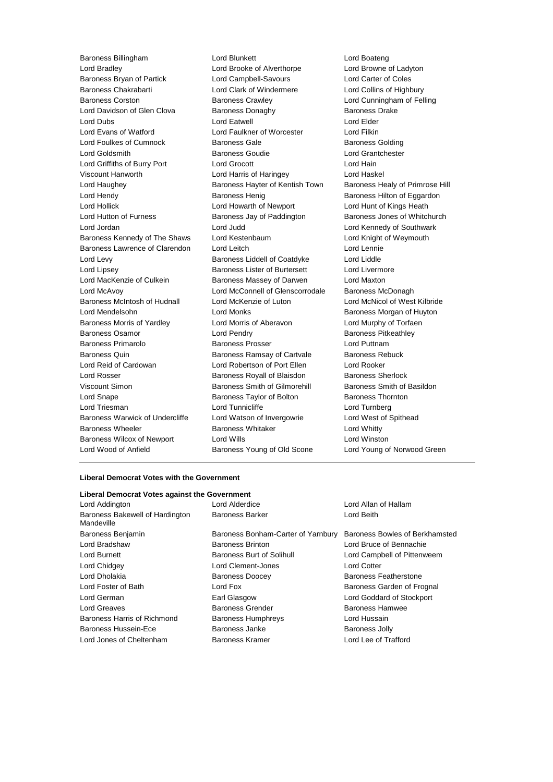Lord Bradley Lord Brooke of Alverthorpe Lord Browne of Ladyton Baroness Bryan of Partick Lord Campbell-Savours<br>Baroness Chakrabarti Lord Clark of Windermere Lord Collins of Hight Baroness Corston **Baroness Crawley Baroness Crawley** Lord Cunningham of Felling Lord Davidson of Glen Clova Baroness Donaghy Baroness Drake Lord Dubs Lord Eatwell Lord Elder Lord Evans of Watford Lord Faulkner of Worcester Lord Filkin Lord Foulkes of Cumnock Baroness Gale Baroness Golding Lord Goldsmith Baroness Goudie Lord Grantchester Lord Griffiths of Burry Port Lord Grocott Lord Hain Viscount Hanworth Lord Harris of Haringey Lord Haskel Lord Haughey **Baroness Hayter of Kentish Town** Baroness Healy of Primrose Hill Lord Hendy **Baroness Henig** Baroness Henig Baroness Hilton of Eggardon Lord Hollick Lord Howarth of Newport Lord Hunt of Kings Heath Lord Hutton of Furness **Baroness Jay of Paddington** Baroness Jones of Whitchurch Lord Jordan Lord Judd Lord Kennedy of Southwark Baroness Kennedy of The Shaws Lord Kestenbaum Lord Knight of Weymouth Baroness Lawrence of Clarendon Lord Leitch Lord Lennie Lord Levy Baroness Liddell of Coatdyke Lord Liddle Lord Lipsey **Baroness Lister of Burtersett** Lord Livermore Lord MacKenzie of Culkein **Baroness Massey of Darwen** Lord Maxton Lord McAvoy Lord McConnell of Glenscorrodale Baroness McDonagh Baroness McIntosh of Hudnall Lord McKenzie of Luton Lord McNicol of West Kilbride Lord Mendelsohn **Lord Monks Lord Monks** Baroness Morgan of Huyton Baroness Morris of Yardley **Lord Morris of Aberavon** Lord Murphy of Torfaen Baroness Osamor **Lord Pendry Communist Communist Party Baroness Pitkeathley** Baroness Primarolo **Baroness Prosser Baroness Prosser** Lord Puttnam Baroness Quin **Baroness Ramsay of Cartvale** Baroness Rebuck Lord Reid of Cardowan Lord Robertson of Port Ellen Lord Rooker Lord Rosser Baroness Royall of Blaisdon Baroness Sherlock Viscount Simon **Baroness Smith of Gilmorehill** Baroness Smith of Basildon Lord Snape **Baroness Taylor of Bolton** Baroness Thornton Baroness Thornton Lord Triesman **Lord Tunnicliffe** Lord Turnberg Lord Turnberg Baroness Warwick of Undercliffe Lord Watson of Invergowrie Lord West of Spithead Baroness Wheeler **Baroness Whitaker** Lord Whitty Baroness Wilcox of Newport Lord Wills Lord Winston

Baroness Billingham Lord Blunkett Lord Boateng Lord Clark of Windermere Lord Collins of Highbury Lord Wood of Anfield Baroness Young of Old Scone Lord Young of Norwood Green

# **Liberal Democrat Votes with the Government**

| Liberal Democrat Votes against the Government |                                    |                                |  |  |  |
|-----------------------------------------------|------------------------------------|--------------------------------|--|--|--|
| Lord Addington                                | Lord Alderdice                     | Lord Allan of Hallam           |  |  |  |
| Baroness Bakewell of Hardington<br>Mandeville | <b>Baroness Barker</b>             | Lord Beith                     |  |  |  |
| Baroness Benjamin                             | Baroness Bonham-Carter of Yarnbury | Baroness Bowles of Berkhamsted |  |  |  |
| Lord Bradshaw                                 | <b>Baroness Brinton</b>            | Lord Bruce of Bennachie        |  |  |  |
| Lord Burnett                                  | Baroness Burt of Solihull          | Lord Campbell of Pittenweem    |  |  |  |
| Lord Chidgey                                  | Lord Clement-Jones                 | <b>Lord Cotter</b>             |  |  |  |
| Lord Dholakia                                 | <b>Baroness Doocey</b>             | Baroness Featherstone          |  |  |  |
| Lord Foster of Bath                           | Lord Fox                           | Baroness Garden of Frognal     |  |  |  |
| Lord German                                   | Earl Glasgow                       | Lord Goddard of Stockport      |  |  |  |
| Lord Greaves                                  | <b>Baroness Grender</b>            | <b>Baroness Hamwee</b>         |  |  |  |
| Baroness Harris of Richmond                   | <b>Baroness Humphreys</b>          | Lord Hussain                   |  |  |  |
| Baroness Hussein-Ece                          | Baroness Janke                     | <b>Baroness Jolly</b>          |  |  |  |
| Lord Jones of Cheltenham                      | Baroness Kramer                    | Lord Lee of Trafford           |  |  |  |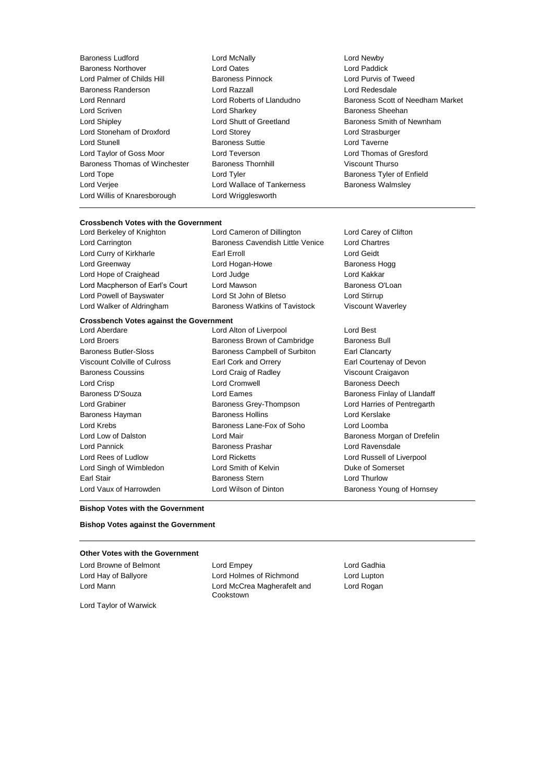Baroness Ludford Lord McNally Lord Newby Baroness Northover Lord Oates Lord Paddick Lord Palmer of Childs Hill Baroness Randerson Lord Razzall Lord Redesdale Lord Scriven **Lord Sharkey Communist Communist Sheehan** Lord Shipley **Lord Shutt of Greetland** Baroness Smith of Newnham Lord Stoneham of Droxford Lord Storey Lord Strasburger Lord Stunell **Baroness Suttie Lord Taverne** Lord Taylor of Goss Moor Lord Teverson Lord Thomas of Gresford Baroness Thomas of Winchester Baroness Thornhill Viscount Thurso Lord Tope **Lord Tyler Lord Tyler Baroness Tyler of Enfield** Lord Verjee Lord Wallace of Tankerness Baroness Walmsley Lord Willis of Knaresborough Lord Wrigglesworth

- 
- Lord Rennard Lord Roberts of Llandudno Baroness Scott of Needham Market

# **Crossbench Votes with the Government**<br>Lord Berkeley of Knighton Lor

Lord Cameron of Dillington Lord Carey of Clifton Lord Carrington Baroness Cavendish Little Venice Lord Chartres Lord Curry of Kirkharle Earl Erroll Lord Geidt Lord Greenway **Lord Hogan-Howe** Baroness Hogg **CO** Lord Hope of Craighead Lord Judge Lord Kakkar Lord Macpherson of Earl's Court Lord Mawson **Baroness O'Loan** Lord Powell of Bayswater Lord St John of Bletso Lord Stirrup Lord Walker of Aldringham Baroness Watkins of Tavistock Viscount Waverley

#### **Crossbench Votes against the Government**

Lord Aberdare Lord Alton of Liverpool Lord Best Lord Broers **Baroness Brown of Cambridge** Baroness Bull Baroness Butler-Sloss Baroness Campbell of Surbiton Earl Clancarty Viscount Colville of Culross Earl Cork and Orrery Earl Courtenay of Devon Baroness Coussins Lord Craig of Radley Viscount Craigavon Lord Crisp Lord Cromwell Baroness Deech Baroness D'Souza **Baroness Exercices** Lord Eames **Baroness Exercices** Baroness Finlay of Llandaff Lord Grabiner **Baroness Grey-Thompson** Lord Harries of Pentregarth Baroness Hayman **Baroness Hollins** Baroness Hollins **Lord Kerslake** Lord Krebs Baroness Lane-Fox of Soho Lord Loomba Lord Low of Dalston **Lord Mair Baroness Morgan of Drefelin** Lord Pannick Baroness Prashar Lord Ravensdale Lord Rees of Ludlow Lord Ricketts Lord Russell of Liverpool Lord Singh of Wimbledon Lord Smith of Kelvin Duke of Somerset Earl Stair **Baroness Stern Earl Stair Lord Thurlow** 

Lord Vaux of Harrowden Lord Wilson of Dinton Baroness Young of Hornsey

#### **Bishop Votes with the Government**

# **Bishop Votes against the Government**

# **Other Votes with the Government**

Lord Browne of Belmont Lord Empey Lord Gadhia Lord Hay of Ballyore Lord Holmes of Richmond Lord Lupton Lord Mann Lord McCrea Magherafelt and Cookstown

Lord Rogan

Lord Taylor of Warwick